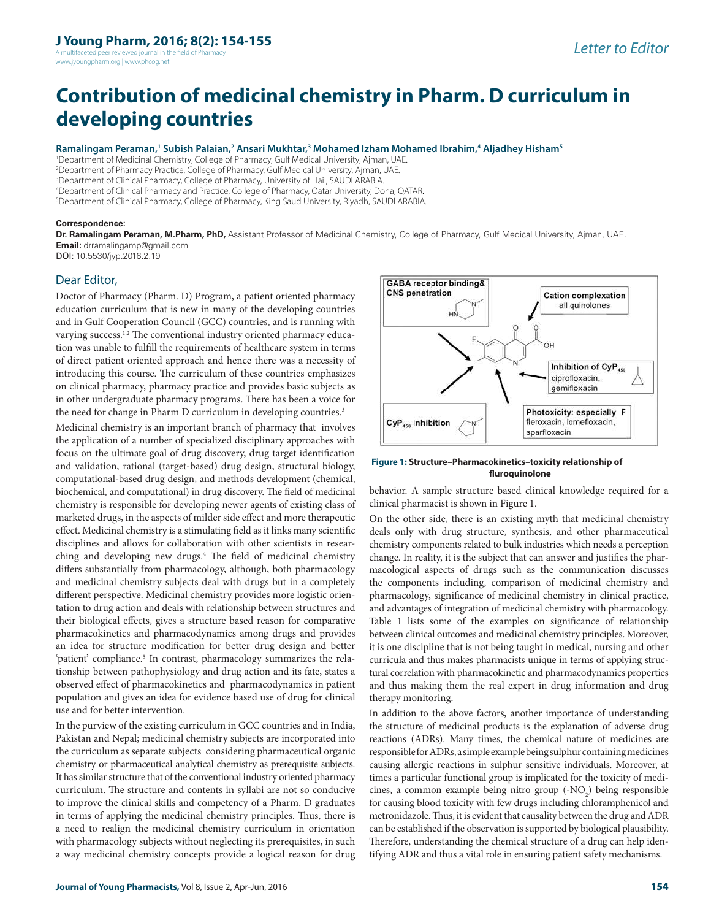A multifaceted peer reviewed journal in the field of Ph www.jyoungpharm.org | www.phcog.net

# **Contribution of medicinal chemistry in Pharm. D curriculum in developing countries**

**Ramalingam Peraman,<sup>1</sup> Subish Palaian,<sup>2</sup> Ansari Mukhtar,<sup>3</sup> Mohamed Izham Mohamed Ibrahim,<sup>4</sup> Aljadhey Hisham<sup>5</sup>**

<sup>1</sup>Department of Medicinal Chemistry, College of Pharmacy, Gulf Medical University, Ajman, UAE.

<sup>2</sup>Department of Pharmacy Practice, College of Pharmacy, Gulf Medical University, Ajman, UAE.

<sup>3</sup>Department of Clinical Pharmacy, College of Pharmacy, University of Hail, SAUDI ARABIA.

<sup>4</sup>Department of Clinical Pharmacy and Practice, College of Pharmacy, Qatar University, Doha, QATAR.

<sup>5</sup>Department of Clinical Pharmacy, College of Pharmacy, King Saud University, Riyadh, SAUDI ARABIA.

#### **Correspondence:**

**Dr. Ramalingam Peraman, M.Pharm, PhD,** Assistant Professor of Medicinal Chemistry, College of Pharmacy, Gulf Medical University, Ajman, UAE. **Email:** drramalingamp@gmail.com DOI: 10.5530/jyp.2016.2.19

## Dear Editor,

Doctor of Pharmacy (Pharm. D) Program, a patient oriented pharmacy education curriculum that is new in many of the developing countries and in Gulf Cooperation Council (GCC) countries, and is running with varying success.<sup>1,2</sup> The conventional industry oriented pharmacy education was unable to fulfill the requirements of healthcare system in terms of direct patient oriented approach and hence there was a necessity of introducing this course. The curriculum of these countries emphasizes on clinical pharmacy, pharmacy practice and provides basic subjects as in other undergraduate pharmacy programs. There has been a voice for the need for change in Pharm D curriculum in developing countries.<sup>3</sup>

Medicinal chemistry is an important branch of pharmacy that involves the application of a number of specialized disciplinary approaches with focus on the ultimate goal of drug discovery, drug target identification and validation, rational (target-based) drug design, structural biology, computational-based drug design, and methods development (chemical, biochemical, and computational) in drug discovery. The field of medicinal chemistry is responsible for developing newer agents of existing class of marketed drugs, in the aspects of milder side effect and more therapeutic effect. Medicinal chemistry is a stimulating field as it links many scientific disciplines and allows for collaboration with other scientists in researching and developing new drugs.<sup>4</sup> The field of medicinal chemistry differs substantially from pharmacology, although, both pharmacology and medicinal chemistry subjects deal with drugs but in a completely different perspective. Medicinal chemistry provides more logistic orientation to drug action and deals with relationship between structures and their biological effects, gives a structure based reason for comparative pharmacokinetics and pharmacodynamics among drugs and provides an idea for structure modification for better drug design and better 'patient' compliance.<sup>5</sup> In contrast, pharmacology summarizes the relationship between pathophysiology and drug action and its fate, states a observed effect of pharmacokinetics and pharmacodynamics in patient population and gives an idea for evidence based use of drug for clinical use and for better intervention.

In the purview of the existing curriculum in GCC countries and in India, Pakistan and Nepal; medicinal chemistry subjects are incorporated into the curriculum as separate subjects considering pharmaceutical organic chemistry or pharmaceutical analytical chemistry as prerequisite subjects. It has similar structure that of the conventional industry oriented pharmacy curriculum. The structure and contents in syllabi are not so conducive to improve the clinical skills and competency of a Pharm. D graduates in terms of applying the medicinal chemistry principles. Thus, there is a need to realign the medicinal chemistry curriculum in orientation with pharmacology subjects without neglecting its prerequisites, in such a way medicinal chemistry concepts provide a logical reason for drug



#### **Figure 1: Structure–Pharmacokinetics–toxicity relationship of fluroquinolone**

behavior. A sample structure based clinical knowledge required for a clinical pharmacist is shown in Figure 1.

On the other side, there is an existing myth that medicinal chemistry deals only with drug structure, synthesis, and other pharmaceutical chemistry components related to bulk industries which needs a perception change. In reality, it is the subject that can answer and justifies the pharmacological aspects of drugs such as the communication discusses the components including, comparison of medicinal chemistry and pharma cology, significance of medicinal chemistry in clinical practice, and advantages of integration of medicinal chemistry with pharmacology. Table 1 lists some of the examples on significance of relationship between clinical outcomes and medicinal chemistry principles. Moreover, it is one discipline that is not being taught in medical, nursing and other curricula and thus makes pharmacists unique in terms of applying structural correlation with pharmacokinetic and pharmacodynamics properties and thus making them the real expert in drug information and drug therapy monitoring.

In addition to the above factors, another importance of understanding the structure of medicinal products is the explanation of adverse drug reactions (ADRs). Many times, the chemical nature of medicines are responsible for ADRs, a simple example being sulphur containing medicines causing allergic reactions in sulphur sensitive individuals. Moreover, at times a particular functional group is implicated for the toxicity of medicines, a common example being nitro group  $(-NO<sub>2</sub>)$  being responsible for causing blood toxicity with few drugs including chloramphenicol and metronidazole. Thus, it is evident that causality between the drug and ADR can be established if the observation is supported by biological plausibility. Therefore, understanding the chemical structure of a drug can help identifying ADR and thus a vital role in ensuring patient safety mechanisms.